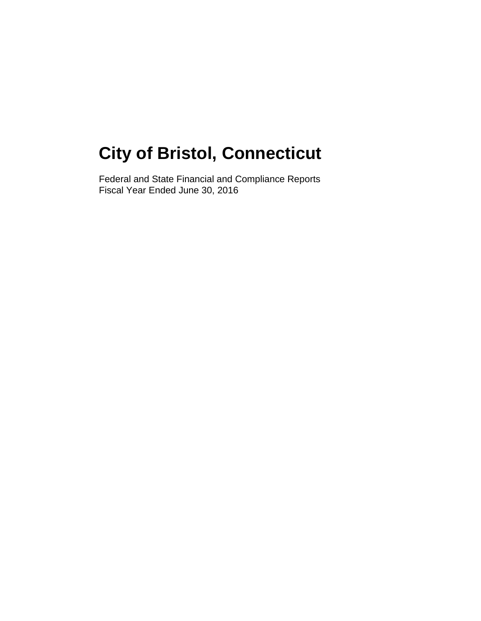Federal and State Financial and Compliance Reports Fiscal Year Ended June 30, 2016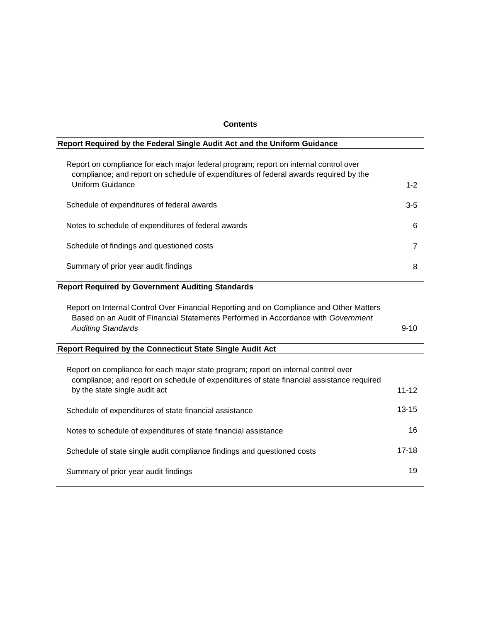## **Contents**

| Report Required by the Federal Single Audit Act and the Uniform Guidance                                                                                                                                         |                |  |
|------------------------------------------------------------------------------------------------------------------------------------------------------------------------------------------------------------------|----------------|--|
| Report on compliance for each major federal program; report on internal control over<br>compliance; and report on schedule of expenditures of federal awards required by the<br><b>Uniform Guidance</b>          | $1 - 2$        |  |
| Schedule of expenditures of federal awards                                                                                                                                                                       | $3-5$          |  |
| Notes to schedule of expenditures of federal awards                                                                                                                                                              | 6              |  |
| Schedule of findings and questioned costs                                                                                                                                                                        | $\overline{7}$ |  |
| Summary of prior year audit findings                                                                                                                                                                             | 8              |  |
| <b>Report Required by Government Auditing Standards</b>                                                                                                                                                          |                |  |
| Report on Internal Control Over Financial Reporting and on Compliance and Other Matters<br>Based on an Audit of Financial Statements Performed in Accordance with Government<br><b>Auditing Standards</b>        | $9 - 10$       |  |
| Report Required by the Connecticut State Single Audit Act                                                                                                                                                        |                |  |
| Report on compliance for each major state program; report on internal control over<br>compliance; and report on schedule of expenditures of state financial assistance required<br>by the state single audit act | $11 - 12$      |  |
| Schedule of expenditures of state financial assistance                                                                                                                                                           | $13 - 15$      |  |
| Notes to schedule of expenditures of state financial assistance                                                                                                                                                  | 16             |  |
| Schedule of state single audit compliance findings and questioned costs                                                                                                                                          | $17 - 18$      |  |
| Summary of prior year audit findings                                                                                                                                                                             | 19             |  |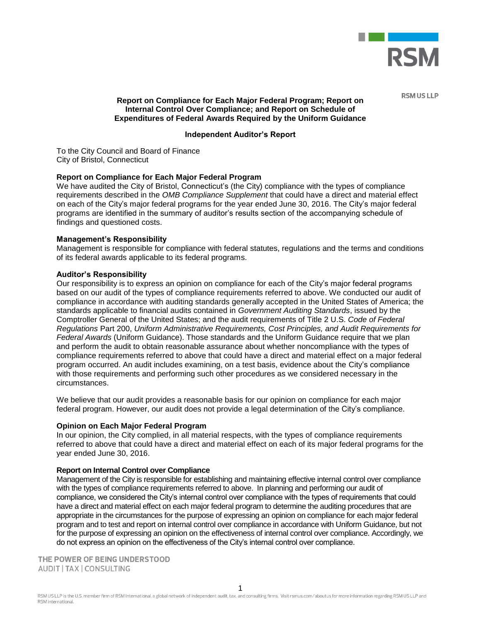

**RSM US LLP** 

## **Report on Compliance for Each Major Federal Program; Report on Internal Control Over Compliance; and Report on Schedule of Expenditures of Federal Awards Required by the Uniform Guidance**

## **Independent Auditor's Report**

To the City Council and Board of Finance City of Bristol, Connecticut

## **Report on Compliance for Each Major Federal Program**

We have audited the City of Bristol, Connecticut's (the City) compliance with the types of compliance requirements described in the *OMB Compliance Supplement* that could have a direct and material effect on each of the City's major federal programs for the year ended June 30, 2016. The City's major federal programs are identified in the summary of auditor's results section of the accompanying schedule of findings and questioned costs.

## **Management's Responsibility**

Management is responsible for compliance with federal statutes, regulations and the terms and conditions of its federal awards applicable to its federal programs.

## **Auditor's Responsibility**

Our responsibility is to express an opinion on compliance for each of the City's major federal programs based on our audit of the types of compliance requirements referred to above. We conducted our audit of compliance in accordance with auditing standards generally accepted in the United States of America; the standards applicable to financial audits contained in *Government Auditing Standards*, issued by the Comptroller General of the United States; and the audit requirements of Title 2 U.S. *Code of Federal Regulations* Part 200, *Uniform Administrative Requirements, Cost Principles, and Audit Requirements for Federal Awards* (Uniform Guidance). Those standards and the Uniform Guidance require that we plan and perform the audit to obtain reasonable assurance about whether noncompliance with the types of compliance requirements referred to above that could have a direct and material effect on a major federal program occurred. An audit includes examining, on a test basis, evidence about the City's compliance with those requirements and performing such other procedures as we considered necessary in the circumstances.

We believe that our audit provides a reasonable basis for our opinion on compliance for each major federal program. However, our audit does not provide a legal determination of the City's compliance.

## **Opinion on Each Major Federal Program**

In our opinion, the City complied, in all material respects, with the types of compliance requirements referred to above that could have a direct and material effect on each of its major federal programs for the year ended June 30, 2016.

## **Report on Internal Control over Compliance**

Management of the City is responsible for establishing and maintaining effective internal control over compliance with the types of compliance requirements referred to above. In planning and performing our audit of compliance, we considered the City's internal control over compliance with the types of requirements that could have a direct and material effect on each major federal program to determine the auditing procedures that are appropriate in the circumstances for the purpose of expressing an opinion on compliance for each major federal program and to test and report on internal control over compliance in accordance with Uniform Guidance, but not for the purpose of expressing an opinion on the effectiveness of internal control over compliance. Accordingly, we do not express an opinion on the effectiveness of the City's internal control over compliance.

THE POWER OF BEING UNDERSTOOD **AUDIT | TAX | CONSULTING**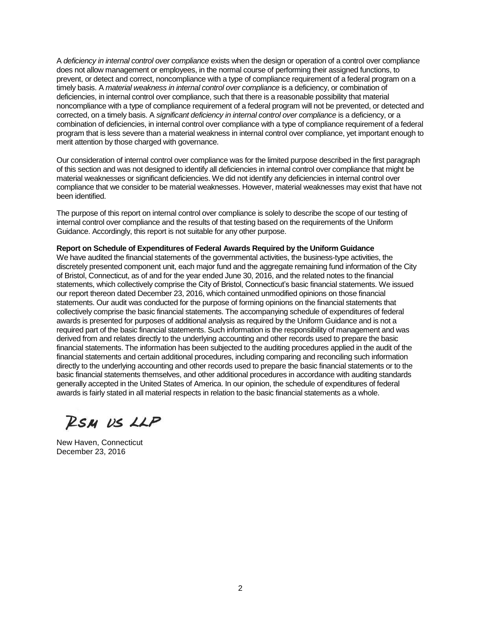A *deficiency in internal control over compliance* exists when the design or operation of a control over compliance does not allow management or employees, in the normal course of performing their assigned functions, to prevent, or detect and correct, noncompliance with a type of compliance requirement of a federal program on a timely basis. A *material weakness in internal control over compliance* is a deficiency, or combination of deficiencies, in internal control over compliance, such that there is a reasonable possibility that material noncompliance with a type of compliance requirement of a federal program will not be prevented, or detected and corrected, on a timely basis. A *significant deficiency in internal control over compliance* is a deficiency, or a combination of deficiencies, in internal control over compliance with a type of compliance requirement of a federal program that is less severe than a material weakness in internal control over compliance, yet important enough to merit attention by those charged with governance.

Our consideration of internal control over compliance was for the limited purpose described in the first paragraph of this section and was not designed to identify all deficiencies in internal control over compliance that might be material weaknesses or significant deficiencies. We did not identify any deficiencies in internal control over compliance that we consider to be material weaknesses. However, material weaknesses may exist that have not been identified.

The purpose of this report on internal control over compliance is solely to describe the scope of our testing of internal control over compliance and the results of that testing based on the requirements of the Uniform Guidance. Accordingly, this report is not suitable for any other purpose.

## **Report on Schedule of Expenditures of Federal Awards Required by the Uniform Guidance**

We have audited the financial statements of the governmental activities, the business-type activities, the discretely presented component unit, each major fund and the aggregate remaining fund information of the City of Bristol, Connecticut, as of and for the year ended June 30, 2016, and the related notes to the financial statements, which collectively comprise the City of Bristol, Connecticut's basic financial statements. We issued our report thereon dated December 23, 2016, which contained unmodified opinions on those financial statements. Our audit was conducted for the purpose of forming opinions on the financial statements that collectively comprise the basic financial statements. The accompanying schedule of expenditures of federal awards is presented for purposes of additional analysis as required by the Uniform Guidance and is not a required part of the basic financial statements. Such information is the responsibility of management and was derived from and relates directly to the underlying accounting and other records used to prepare the basic financial statements. The information has been subjected to the auditing procedures applied in the audit of the financial statements and certain additional procedures, including comparing and reconciling such information directly to the underlying accounting and other records used to prepare the basic financial statements or to the basic financial statements themselves, and other additional procedures in accordance with auditing standards generally accepted in the United States of America. In our opinion, the schedule of expenditures of federal awards is fairly stated in all material respects in relation to the basic financial statements as a whole.

RSM US LLP

New Haven, Connecticut December 23, 2016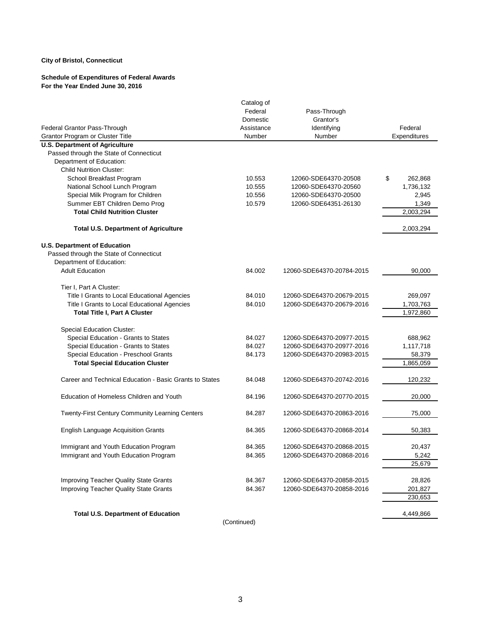#### **Schedule of Expenditures of Federal Awards For the Year Ended June 30, 2016**

|                                                         | Catalog of<br>Federal | Pass-Through              |               |
|---------------------------------------------------------|-----------------------|---------------------------|---------------|
|                                                         | Domestic              | Grantor's                 |               |
| Federal Grantor Pass-Through                            | Assistance            | Identifying               | Federal       |
| Grantor Program or Cluster Title                        | Number                | Number                    | Expenditures  |
| <b>U.S. Department of Agriculture</b>                   |                       |                           |               |
| Passed through the State of Connecticut                 |                       |                           |               |
| Department of Education:                                |                       |                           |               |
| <b>Child Nutrition Cluster:</b>                         |                       |                           |               |
| School Breakfast Program                                | 10.553                | 12060-SDE64370-20508      | \$<br>262,868 |
| National School Lunch Program                           | 10.555                | 12060-SDE64370-20560      | 1,736,132     |
| Special Milk Program for Children                       | 10.556                | 12060-SDE64370-20500      | 2,945         |
| Summer EBT Children Demo Prog                           | 10.579                | 12060-SDE64351-26130      | 1,349         |
| <b>Total Child Nutrition Cluster</b>                    |                       |                           | 2,003,294     |
| <b>Total U.S. Department of Agriculture</b>             |                       |                           | 2,003,294     |
| <b>U.S. Department of Education</b>                     |                       |                           |               |
| Passed through the State of Connecticut                 |                       |                           |               |
| Department of Education:                                |                       |                           |               |
| <b>Adult Education</b>                                  | 84.002                | 12060-SDE64370-20784-2015 | 90,000        |
|                                                         |                       |                           |               |
| Tier I, Part A Cluster:                                 |                       |                           |               |
| Title I Grants to Local Educational Agencies            | 84.010                | 12060-SDE64370-20679-2015 | 269,097       |
| Title I Grants to Local Educational Agencies            | 84.010                | 12060-SDE64370-20679-2016 | 1,703,763     |
| <b>Total Title I, Part A Cluster</b>                    |                       |                           | 1,972,860     |
| Special Education Cluster:                              |                       |                           |               |
| Special Education - Grants to States                    | 84.027                | 12060-SDE64370-20977-2015 | 688,962       |
| Special Education - Grants to States                    | 84.027                | 12060-SDE64370-20977-2016 | 1,117,718     |
| Special Education - Preschool Grants                    | 84.173                | 12060-SDE64370-20983-2015 | 58,379        |
| <b>Total Special Education Cluster</b>                  |                       |                           | 1,865,059     |
| Career and Technical Education - Basic Grants to States | 84.048                | 12060-SDE64370-20742-2016 | 120,232       |
| Education of Homeless Children and Youth                | 84.196                | 12060-SDE64370-20770-2015 | 20,000        |
|                                                         |                       |                           |               |
| Twenty-First Century Community Learning Centers         | 84.287                | 12060-SDE64370-20863-2016 | 75,000        |
| <b>English Language Acquisition Grants</b>              | 84.365                | 12060-SDE64370-20868-2014 | 50,383        |
| Immigrant and Youth Education Program                   | 84.365                | 12060-SDE64370-20868-2015 | 20.437        |
| Immigrant and Youth Education Program                   | 84.365                | 12060-SDE64370-20868-2016 | 5,242         |
|                                                         |                       |                           | 25,679        |
|                                                         |                       |                           |               |
| Improving Teacher Quality State Grants                  | 84.367                | 12060-SDE64370-20858-2015 | 28,826        |
| Improving Teacher Quality State Grants                  | 84.367                | 12060-SDE64370-20858-2016 | 201,827       |
|                                                         |                       |                           | 230,653       |
| <b>Total U.S. Department of Education</b>               |                       |                           | 4,449,866     |
|                                                         | (Continued)           |                           |               |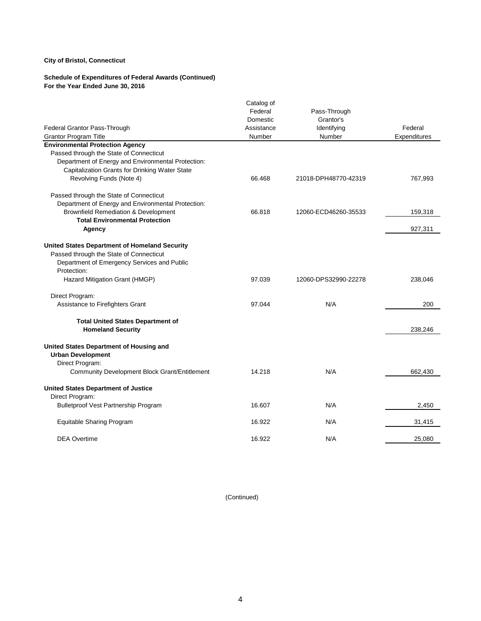#### **Schedule of Expenditures of Federal Awards (Continued) For the Year Ended June 30, 2016**

|                                                      | Catalog of |                      |              |
|------------------------------------------------------|------------|----------------------|--------------|
|                                                      | Federal    | Pass-Through         |              |
|                                                      | Domestic   | Grantor's            |              |
| Federal Grantor Pass-Through                         | Assistance | Identifying          | Federal      |
| <b>Grantor Program Title</b>                         | Number     | Number               | Expenditures |
| <b>Environmental Protection Agency</b>               |            |                      |              |
| Passed through the State of Connecticut              |            |                      |              |
| Department of Energy and Environmental Protection:   |            |                      |              |
| Capitalization Grants for Drinking Water State       |            |                      |              |
| Revolving Funds (Note 4)                             | 66.468     | 21018-DPH48770-42319 | 767,993      |
|                                                      |            |                      |              |
| Passed through the State of Connecticut              |            |                      |              |
| Department of Energy and Environmental Protection:   |            |                      |              |
| <b>Brownfield Remediation &amp; Development</b>      | 66.818     | 12060-ECD46260-35533 | 159,318      |
| <b>Total Environmental Protection</b>                |            |                      |              |
| <b>Agency</b>                                        |            |                      | 927,311      |
|                                                      |            |                      |              |
| <b>United States Department of Homeland Security</b> |            |                      |              |
| Passed through the State of Connecticut              |            |                      |              |
| Department of Emergency Services and Public          |            |                      |              |
| Protection:                                          |            |                      |              |
|                                                      |            |                      |              |
| Hazard Mitigation Grant (HMGP)                       | 97.039     | 12060-DPS32990-22278 | 238,046      |
| Direct Program:                                      |            |                      |              |
| Assistance to Firefighters Grant                     | 97.044     | N/A                  | 200          |
|                                                      |            |                      |              |
| <b>Total United States Department of</b>             |            |                      |              |
| <b>Homeland Security</b>                             |            |                      | 238,246      |
|                                                      |            |                      |              |
| United States Department of Housing and              |            |                      |              |
| <b>Urban Development</b>                             |            |                      |              |
| Direct Program:                                      |            |                      |              |
| Community Development Block Grant/Entitlement        | 14.218     | N/A                  | 662,430      |
|                                                      |            |                      |              |
| <b>United States Department of Justice</b>           |            |                      |              |
| Direct Program:                                      |            |                      |              |
| <b>Bulletproof Vest Partnership Program</b>          | 16.607     | N/A                  | 2,450        |
|                                                      |            |                      |              |
| <b>Equitable Sharing Program</b>                     | 16.922     | N/A                  | 31,415       |
|                                                      |            |                      |              |
| <b>DEA Overtime</b>                                  | 16.922     | N/A                  | 25,080       |

(Continued)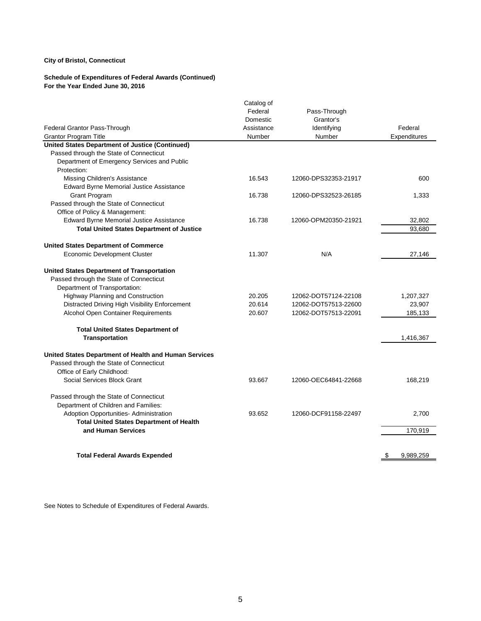#### **Schedule of Expenditures of Federal Awards (Continued) For the Year Ended June 30, 2016**

|                                                        | Catalog of |                      |                  |
|--------------------------------------------------------|------------|----------------------|------------------|
|                                                        | Federal    | Pass-Through         |                  |
|                                                        | Domestic   | Grantor's            |                  |
| Federal Grantor Pass-Through                           | Assistance | Identifying          | Federal          |
| <b>Grantor Program Title</b>                           | Number     | Number               | Expenditures     |
| <b>United States Department of Justice (Continued)</b> |            |                      |                  |
| Passed through the State of Connecticut                |            |                      |                  |
| Department of Emergency Services and Public            |            |                      |                  |
| Protection:                                            |            |                      |                  |
| Missing Children's Assistance                          | 16.543     | 12060-DPS32353-21917 | 600              |
| Edward Byrne Memorial Justice Assistance               |            |                      |                  |
| Grant Program                                          | 16.738     | 12060-DPS32523-26185 | 1,333            |
| Passed through the State of Connecticut                |            |                      |                  |
| Office of Policy & Management:                         |            |                      |                  |
| <b>Edward Byrne Memorial Justice Assistance</b>        | 16.738     | 12060-OPM20350-21921 | 32,802           |
| <b>Total United States Department of Justice</b>       |            |                      | 93,680           |
|                                                        |            |                      |                  |
| <b>United States Department of Commerce</b>            |            |                      |                  |
| Economic Development Cluster                           | 11.307     | N/A                  | 27,146           |
|                                                        |            |                      |                  |
| <b>United States Department of Transportation</b>      |            |                      |                  |
| Passed through the State of Connecticut                |            |                      |                  |
| Department of Transportation:                          |            |                      |                  |
| Highway Planning and Construction                      | 20.205     | 12062-DOT57124-22108 | 1,207,327        |
| Distracted Driving High Visibility Enforcement         | 20.614     | 12062-DOT57513-22600 | 23,907           |
| Alcohol Open Container Requirements                    | 20.607     | 12062-DOT57513-22091 | 185,133          |
|                                                        |            |                      |                  |
| <b>Total United States Department of</b>               |            |                      |                  |
| <b>Transportation</b>                                  |            |                      | 1,416,367        |
|                                                        |            |                      |                  |
| United States Department of Health and Human Services  |            |                      |                  |
| Passed through the State of Connecticut                |            |                      |                  |
| Office of Early Childhood:                             |            |                      |                  |
| Social Services Block Grant                            | 93.667     | 12060-OEC64841-22668 | 168,219          |
|                                                        |            |                      |                  |
| Passed through the State of Connecticut                |            |                      |                  |
| Department of Children and Families:                   |            |                      |                  |
| Adoption Opportunities- Administration                 | 93.652     | 12060-DCF91158-22497 | 2,700            |
| <b>Total United States Department of Health</b>        |            |                      |                  |
| and Human Services                                     |            |                      | 170,919          |
|                                                        |            |                      |                  |
|                                                        |            |                      |                  |
| <b>Total Federal Awards Expended</b>                   |            |                      | \$.<br>9.989.259 |

See Notes to Schedule of Expenditures of Federal Awards.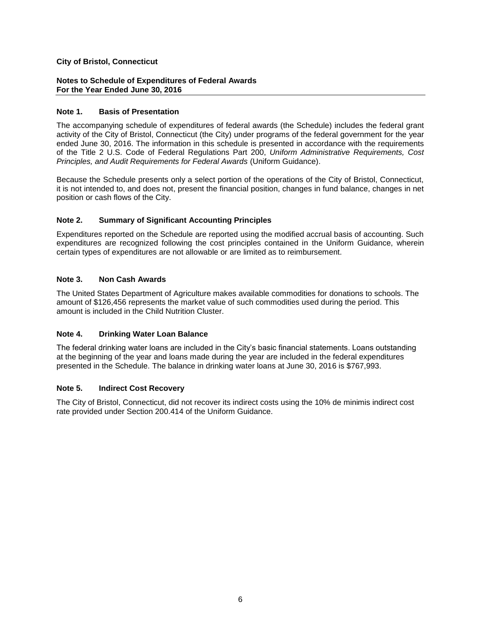## **Notes to Schedule of Expenditures of Federal Awards For the Year Ended June 30, 2016**

## **Note 1. Basis of Presentation**

The accompanying schedule of expenditures of federal awards (the Schedule) includes the federal grant activity of the City of Bristol, Connecticut (the City) under programs of the federal government for the year ended June 30, 2016. The information in this schedule is presented in accordance with the requirements of the Title 2 U.S. Code of Federal Regulations Part 200, *Uniform Administrative Requirements, Cost Principles, and Audit Requirements for Federal Awards* (Uniform Guidance).

Because the Schedule presents only a select portion of the operations of the City of Bristol, Connecticut, it is not intended to, and does not, present the financial position, changes in fund balance, changes in net position or cash flows of the City.

# **Note 2. Summary of Significant Accounting Principles**

Expenditures reported on the Schedule are reported using the modified accrual basis of accounting. Such expenditures are recognized following the cost principles contained in the Uniform Guidance, wherein certain types of expenditures are not allowable or are limited as to reimbursement.

## **Note 3. Non Cash Awards**

The United States Department of Agriculture makes available commodities for donations to schools. The amount of \$126,456 represents the market value of such commodities used during the period. This amount is included in the Child Nutrition Cluster.

## **Note 4. Drinking Water Loan Balance**

The federal drinking water loans are included in the City's basic financial statements. Loans outstanding at the beginning of the year and loans made during the year are included in the federal expenditures presented in the Schedule. The balance in drinking water loans at June 30, 2016 is \$767,993.

## **Note 5. Indirect Cost Recovery**

The City of Bristol, Connecticut, did not recover its indirect costs using the 10% de minimis indirect cost rate provided under Section 200.414 of the Uniform Guidance.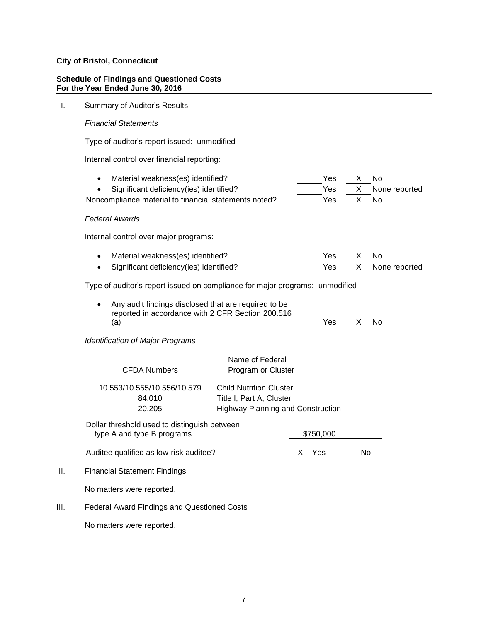#### **Schedule of Findings and Questioned Costs For the Year Ended June 30, 2016**

I. Summary of Auditor's Results

#### *Financial Statements*

Type of auditor's report issued: unmodified

Internal control over financial reporting:

| Material weakness(es) identified?                     | Yes | No.                 |
|-------------------------------------------------------|-----|---------------------|
| • Significant deficiency(ies) identified?             |     | Yes X None reported |
| Noncompliance material to financial statements noted? | Yes | X No                |

#### *Federal Awards*

Internal control over major programs:

- Material weakness(es) identified? The Material weakness and the Material Material of Material Material Material Material Material Material Material Material Material Material Material Material Material Material Material
- Significant deficiency(ies) identified? Yes X None reported

Type of auditor's report issued on compliance for major programs: unmodified

 Any audit findings disclosed that are required to be reported in accordance with 2 CFR Section 200.516 (a) Yes X No

*Identification of Major Programs*

|                                              | Name of Federal                          |  |
|----------------------------------------------|------------------------------------------|--|
| <b>CFDA Numbers</b>                          | Program or Cluster                       |  |
|                                              |                                          |  |
| 10.553/10.555/10.556/10.579                  | <b>Child Nutrition Cluster</b>           |  |
| 84.010                                       | Title I, Part A, Cluster                 |  |
| 20.205                                       | <b>Highway Planning and Construction</b> |  |
| Dollar threshold used to distinguish between |                                          |  |
| type A and type B programs                   | \$750,000                                |  |

Auditee qualified as low-risk auditee? 
West Mo

II. Financial Statement Findings

No matters were reported.

III. Federal Award Findings and Questioned Costs

No matters were reported.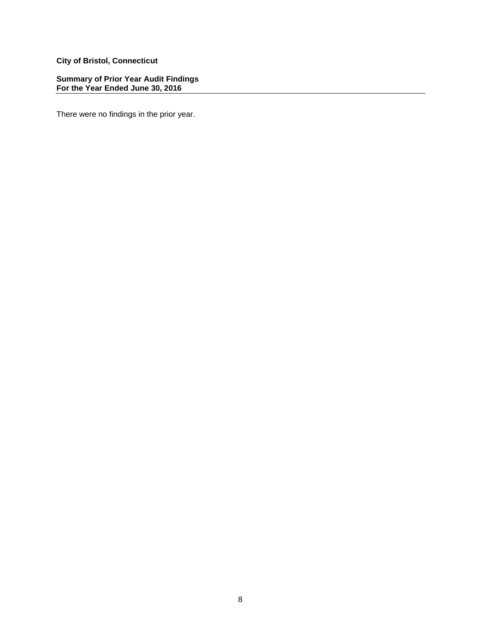#### **Summary of Prior Year Audit Findings For the Year Ended June 30, 2016**

There were no findings in the prior year.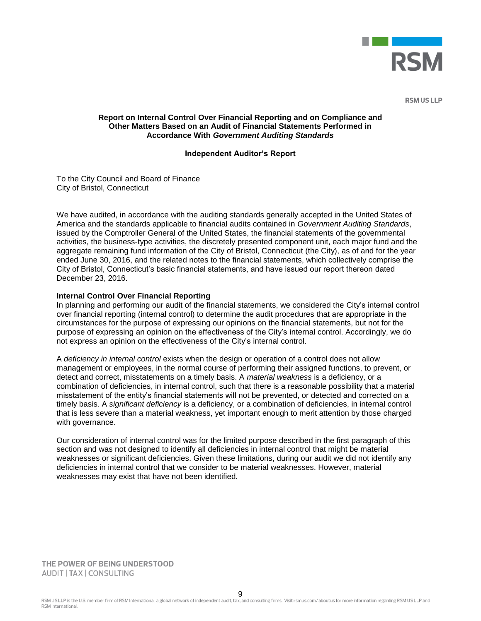

**RSM US LLP** 

## **Report on Internal Control Over Financial Reporting and on Compliance and Other Matters Based on an Audit of Financial Statements Performed in Accordance With** *Government Auditing Standards*

#### **Independent Auditor's Report**

To the City Council and Board of Finance City of Bristol, Connecticut

We have audited, in accordance with the auditing standards generally accepted in the United States of America and the standards applicable to financial audits contained in *Government Auditing Standards*, issued by the Comptroller General of the United States, the financial statements of the governmental activities, the business-type activities, the discretely presented component unit, each major fund and the aggregate remaining fund information of the City of Bristol, Connecticut (the City), as of and for the year ended June 30, 2016, and the related notes to the financial statements, which collectively comprise the City of Bristol, Connecticut's basic financial statements, and have issued our report thereon dated December 23, 2016.

#### **Internal Control Over Financial Reporting**

In planning and performing our audit of the financial statements, we considered the City's internal control over financial reporting (internal control) to determine the audit procedures that are appropriate in the circumstances for the purpose of expressing our opinions on the financial statements, but not for the purpose of expressing an opinion on the effectiveness of the City's internal control. Accordingly, we do not express an opinion on the effectiveness of the City's internal control.

A *deficiency in internal control* exists when the design or operation of a control does not allow management or employees, in the normal course of performing their assigned functions, to prevent, or detect and correct, misstatements on a timely basis. A *material weakness* is a deficiency, or a combination of deficiencies, in internal control, such that there is a reasonable possibility that a material misstatement of the entity's financial statements will not be prevented, or detected and corrected on a timely basis. A *significant deficiency* is a deficiency, or a combination of deficiencies, in internal control that is less severe than a material weakness, yet important enough to merit attention by those charged with governance.

Our consideration of internal control was for the limited purpose described in the first paragraph of this section and was not designed to identify all deficiencies in internal control that might be material weaknesses or significant deficiencies. Given these limitations, during our audit we did not identify any deficiencies in internal control that we consider to be material weaknesses. However, material weaknesses may exist that have not been identified.

THE POWER OF BEING UNDERSTOOD AUDIT | TAX | CONSULTING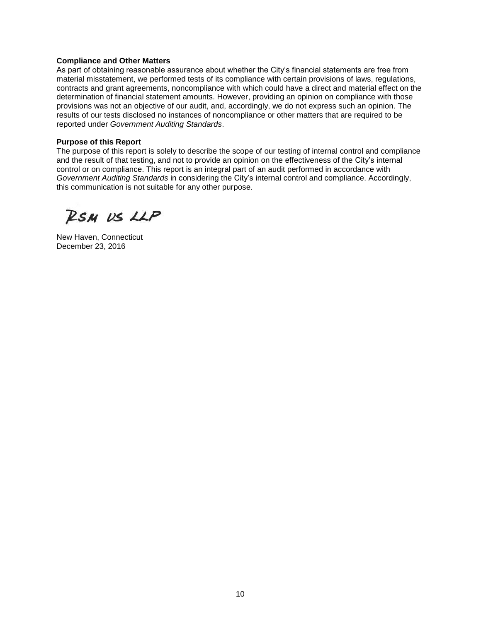## **Compliance and Other Matters**

As part of obtaining reasonable assurance about whether the City's financial statements are free from material misstatement, we performed tests of its compliance with certain provisions of laws, regulations, contracts and grant agreements, noncompliance with which could have a direct and material effect on the determination of financial statement amounts. However, providing an opinion on compliance with those provisions was not an objective of our audit, and, accordingly, we do not express such an opinion. The results of our tests disclosed no instances of noncompliance or other matters that are required to be reported under *Government Auditing Standards*.

## **Purpose of this Report**

The purpose of this report is solely to describe the scope of our testing of internal control and compliance and the result of that testing, and not to provide an opinion on the effectiveness of the City's internal control or on compliance. This report is an integral part of an audit performed in accordance with *Government Auditing Standards* in considering the City's internal control and compliance. Accordingly, this communication is not suitable for any other purpose.

RSM US LLP

New Haven, Connecticut December 23, 2016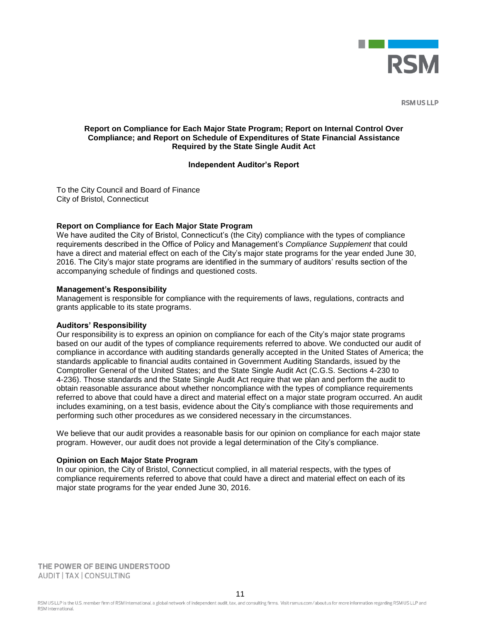

**RSM US LLP** 

## **Report on Compliance for Each Major State Program; Report on Internal Control Over Compliance; and Report on Schedule of Expenditures of State Financial Assistance Required by the State Single Audit Act**

#### **Independent Auditor's Report**

To the City Council and Board of Finance City of Bristol, Connecticut

## **Report on Compliance for Each Major State Program**

We have audited the City of Bristol, Connecticut's (the City) compliance with the types of compliance requirements described in the Office of Policy and Management's *Compliance Supplement* that could have a direct and material effect on each of the City's major state programs for the year ended June 30, 2016. The City's major state programs are identified in the summary of auditors' results section of the accompanying schedule of findings and questioned costs.

#### **Management's Responsibility**

Management is responsible for compliance with the requirements of laws, regulations, contracts and grants applicable to its state programs.

#### **Auditors' Responsibility**

Our responsibility is to express an opinion on compliance for each of the City's major state programs based on our audit of the types of compliance requirements referred to above. We conducted our audit of compliance in accordance with auditing standards generally accepted in the United States of America; the standards applicable to financial audits contained in Government Auditing Standards, issued by the Comptroller General of the United States; and the State Single Audit Act (C.G.S. Sections 4-230 to 4-236). Those standards and the State Single Audit Act require that we plan and perform the audit to obtain reasonable assurance about whether noncompliance with the types of compliance requirements referred to above that could have a direct and material effect on a major state program occurred. An audit includes examining, on a test basis, evidence about the City's compliance with those requirements and performing such other procedures as we considered necessary in the circumstances.

We believe that our audit provides a reasonable basis for our opinion on compliance for each major state program. However, our audit does not provide a legal determination of the City's compliance.

## **Opinion on Each Major State Program**

In our opinion, the City of Bristol, Connecticut complied, in all material respects, with the types of compliance requirements referred to above that could have a direct and material effect on each of its major state programs for the year ended June 30, 2016.

THE POWER OF BEING UNDERSTOOD AUDIT | TAX | CONSULTING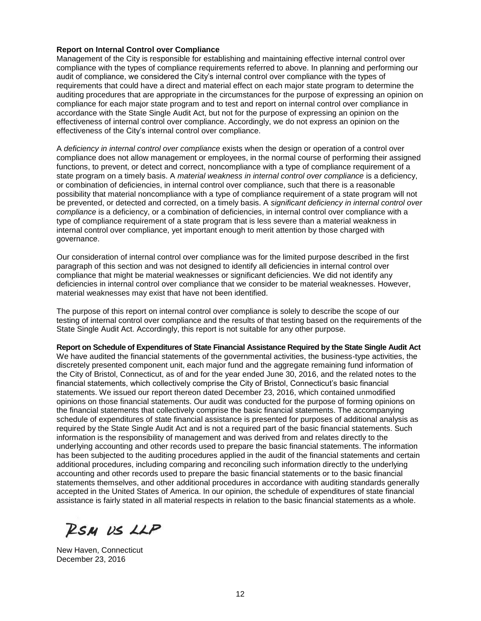#### **Report on Internal Control over Compliance**

Management of the City is responsible for establishing and maintaining effective internal control over compliance with the types of compliance requirements referred to above. In planning and performing our audit of compliance, we considered the City's internal control over compliance with the types of requirements that could have a direct and material effect on each major state program to determine the auditing procedures that are appropriate in the circumstances for the purpose of expressing an opinion on compliance for each major state program and to test and report on internal control over compliance in accordance with the State Single Audit Act, but not for the purpose of expressing an opinion on the effectiveness of internal control over compliance. Accordingly, we do not express an opinion on the effectiveness of the City's internal control over compliance.

A *deficiency in internal control over compliance* exists when the design or operation of a control over compliance does not allow management or employees, in the normal course of performing their assigned functions, to prevent, or detect and correct, noncompliance with a type of compliance requirement of a state program on a timely basis. A *material weakness in internal control over compliance* is a deficiency, or combination of deficiencies, in internal control over compliance, such that there is a reasonable possibility that material noncompliance with a type of compliance requirement of a state program will not be prevented, or detected and corrected, on a timely basis. A *significant deficiency in internal control over compliance* is a deficiency, or a combination of deficiencies, in internal control over compliance with a type of compliance requirement of a state program that is less severe than a material weakness in internal control over compliance, yet important enough to merit attention by those charged with governance.

Our consideration of internal control over compliance was for the limited purpose described in the first paragraph of this section and was not designed to identify all deficiencies in internal control over compliance that might be material weaknesses or significant deficiencies. We did not identify any deficiencies in internal control over compliance that we consider to be material weaknesses. However, material weaknesses may exist that have not been identified.

The purpose of this report on internal control over compliance is solely to describe the scope of our testing of internal control over compliance and the results of that testing based on the requirements of the State Single Audit Act. Accordingly, this report is not suitable for any other purpose.

**Report on Schedule of Expenditures of State Financial Assistance Required by the State Single Audit Act** We have audited the financial statements of the governmental activities, the business-type activities, the discretely presented component unit, each major fund and the aggregate remaining fund information of the City of Bristol, Connecticut, as of and for the year ended June 30, 2016, and the related notes to the financial statements, which collectively comprise the City of Bristol, Connecticut's basic financial statements. We issued our report thereon dated December 23, 2016, which contained unmodified opinions on those financial statements. Our audit was conducted for the purpose of forming opinions on the financial statements that collectively comprise the basic financial statements. The accompanying schedule of expenditures of state financial assistance is presented for purposes of additional analysis as required by the State Single Audit Act and is not a required part of the basic financial statements. Such information is the responsibility of management and was derived from and relates directly to the underlying accounting and other records used to prepare the basic financial statements. The information has been subjected to the auditing procedures applied in the audit of the financial statements and certain additional procedures, including comparing and reconciling such information directly to the underlying accounting and other records used to prepare the basic financial statements or to the basic financial statements themselves, and other additional procedures in accordance with auditing standards generally accepted in the United States of America. In our opinion, the schedule of expenditures of state financial assistance is fairly stated in all material respects in relation to the basic financial statements as a whole.

RSM US LLP

New Haven, Connecticut December 23, 2016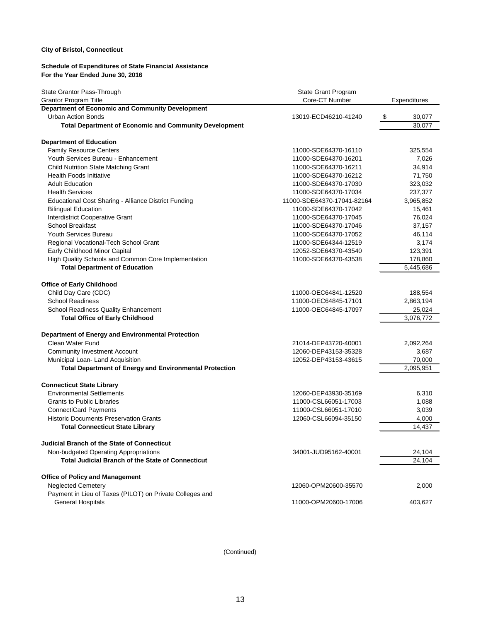#### **Schedule of Expenditures of State Financial Assistance For the Year Ended June 30, 2016**

| State Grantor Pass-Through                                     | State Grant Program        |                      |
|----------------------------------------------------------------|----------------------------|----------------------|
| <b>Grantor Program Title</b>                                   | Core-CT Number             | Expenditures         |
| Department of Economic and Community Development               |                            |                      |
| <b>Urban Action Bonds</b>                                      | 13019-ECD46210-41240       | $\sqrt{2}$<br>30,077 |
| <b>Total Department of Economic and Community Development</b>  |                            | 30,077               |
| <b>Department of Education</b>                                 |                            |                      |
| <b>Family Resource Centers</b>                                 | 11000-SDE64370-16110       | 325,554              |
| Youth Services Bureau - Enhancement                            | 11000-SDE64370-16201       | 7,026                |
| <b>Child Nutrition State Matching Grant</b>                    | 11000-SDE64370-16211       | 34,914               |
| <b>Health Foods Initiative</b>                                 | 11000-SDE64370-16212       | 71,750               |
| <b>Adult Education</b>                                         | 11000-SDE64370-17030       | 323,032              |
| <b>Health Services</b>                                         | 11000-SDE64370-17034       | 237,377              |
| Educational Cost Sharing - Alliance District Funding           | 11000-SDE64370-17041-82164 | 3,965,852            |
| <b>Bilingual Education</b>                                     | 11000-SDE64370-17042       | 15,461               |
| Interdistrict Cooperative Grant                                | 11000-SDE64370-17045       | 76,024               |
| <b>School Breakfast</b>                                        | 11000-SDE64370-17046       | 37,157               |
| Youth Services Bureau                                          | 11000-SDE64370-17052       | 46,114               |
| Regional Vocational-Tech School Grant                          | 11000-SDE64344-12519       | 3,174                |
| Early Childhood Minor Capital                                  | 12052-SDE64370-43540       | 123,391              |
| High Quality Schools and Common Core Implementation            | 11000-SDE64370-43538       | 178,860              |
| <b>Total Department of Education</b>                           |                            | 5,445,686            |
| <b>Office of Early Childhood</b>                               |                            |                      |
| Child Day Care (CDC)                                           | 11000-OEC64841-12520       | 188,554              |
| <b>School Readiness</b>                                        | 11000-OEC64845-17101       | 2,863,194            |
| School Readiness Quality Enhancement                           | 11000-OEC64845-17097       | 25,024               |
| <b>Total Office of Early Childhood</b>                         |                            | 3,076,772            |
| Department of Energy and Environmental Protection              |                            |                      |
| Clean Water Fund                                               | 21014-DEP43720-40001       | 2,092,264            |
| <b>Community Investment Account</b>                            | 12060-DEP43153-35328       | 3,687                |
| Municipal Loan- Land Acquisition                               | 12052-DEP43153-43615       | 70,000               |
| <b>Total Department of Energy and Environmental Protection</b> |                            | 2,095,951            |
| <b>Connecticut State Library</b>                               |                            |                      |
| <b>Environmental Settlements</b>                               | 12060-DEP43930-35169       | 6,310                |
| <b>Grants to Public Libraries</b>                              | 11000-CSL66051-17003       | 1,088                |
| <b>ConnectiCard Payments</b>                                   | 11000-CSL66051-17010       | 3,039                |
| <b>Historic Documents Preservation Grants</b>                  | 12060-CSL66094-35150       | 4,000                |
| <b>Total Connecticut State Library</b>                         |                            | 14,437               |
| Judicial Branch of the State of Connecticut                    |                            |                      |
| Non-budgeted Operating Appropriations                          | 34001-JUD95162-40001       | 24,104               |
| <b>Total Judicial Branch of the State of Connecticut</b>       |                            | 24,104               |
| <b>Office of Policy and Management</b>                         |                            |                      |
| <b>Neglected Cemetery</b>                                      | 12060-OPM20600-35570       | 2,000                |
| Payment in Lieu of Taxes (PILOT) on Private Colleges and       |                            |                      |
| <b>General Hospitals</b>                                       | 11000-OPM20600-17006       | 403,627              |

(Continued)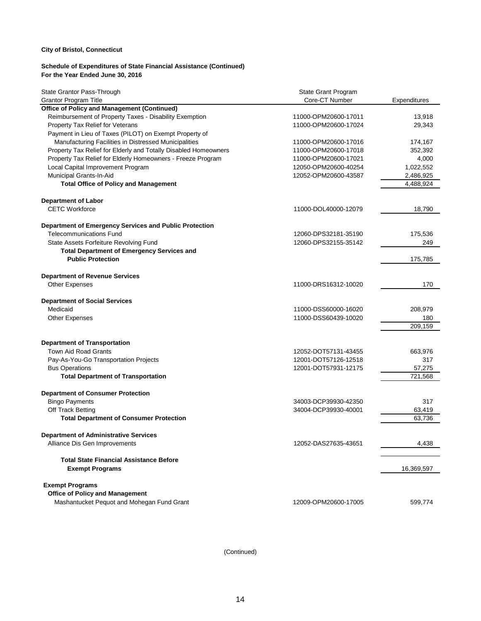#### **Schedule of Expenditures of State Financial Assistance (Continued) For the Year Ended June 30, 2016**

| State Grantor Pass-Through                                      | State Grant Program  |              |
|-----------------------------------------------------------------|----------------------|--------------|
| <b>Grantor Program Title</b>                                    | Core-CT Number       | Expenditures |
| <b>Office of Policy and Management (Continued)</b>              |                      |              |
| Reimbursement of Property Taxes - Disability Exemption          | 11000-OPM20600-17011 | 13,918       |
| Property Tax Relief for Veterans                                | 11000-OPM20600-17024 | 29,343       |
| Payment in Lieu of Taxes (PILOT) on Exempt Property of          |                      |              |
| Manufacturing Facilities in Distressed Municipalities           | 11000-OPM20600-17016 | 174,167      |
| Property Tax Relief for Elderly and Totally Disabled Homeowners | 11000-OPM20600-17018 | 352,392      |
| Property Tax Relief for Elderly Homeowners - Freeze Program     | 11000-OPM20600-17021 | 4,000        |
| Local Capital Improvement Program                               | 12050-OPM20600-40254 | 1,022,552    |
| Municipal Grants-In-Aid                                         | 12052-OPM20600-43587 | 2,486,925    |
| <b>Total Office of Policy and Management</b>                    |                      | 4,488,924    |
| <b>Department of Labor</b>                                      |                      |              |
| <b>CETC Workforce</b>                                           | 11000-DOL40000-12079 | 18,790       |
|                                                                 |                      |              |
| Department of Emergency Services and Public Protection          |                      |              |
| <b>Telecommunications Fund</b>                                  | 12060-DPS32181-35190 | 175,536      |
| State Assets Forfeiture Revolving Fund                          | 12060-DPS32155-35142 | 249          |
| <b>Total Department of Emergency Services and</b>               |                      |              |
| <b>Public Protection</b>                                        |                      | 175,785      |
|                                                                 |                      |              |
| <b>Department of Revenue Services</b>                           |                      |              |
| Other Expenses                                                  | 11000-DRS16312-10020 | 170          |
| <b>Department of Social Services</b>                            |                      |              |
| Medicaid                                                        | 11000-DSS60000-16020 | 208,979      |
| <b>Other Expenses</b>                                           | 11000-DSS60439-10020 | 180          |
|                                                                 |                      | 209,159      |
|                                                                 |                      |              |
| <b>Department of Transportation</b>                             |                      |              |
| Town Aid Road Grants                                            | 12052-DOT57131-43455 | 663,976      |
| Pay-As-You-Go Transportation Projects                           | 12001-DOT57126-12518 | 317          |
| <b>Bus Operations</b>                                           | 12001-DOT57931-12175 | 57,275       |
| <b>Total Department of Transportation</b>                       |                      | 721,568      |
| <b>Department of Consumer Protection</b>                        |                      |              |
| <b>Bingo Payments</b>                                           | 34003-DCP39930-42350 | 317          |
| Off Track Betting                                               | 34004-DCP39930-40001 | 63,419       |
| <b>Total Department of Consumer Protection</b>                  |                      | 63,736       |
|                                                                 |                      |              |
| <b>Department of Administrative Services</b>                    |                      |              |
| Alliance Dis Gen Improvements                                   | 12052-DAS27635-43651 | 4,438        |
| <b>Total State Financial Assistance Before</b>                  |                      |              |
| <b>Exempt Programs</b>                                          |                      | 16,369,597   |
| <b>Exempt Programs</b>                                          |                      |              |
| <b>Office of Policy and Management</b>                          |                      |              |
| Mashantucket Pequot and Mohegan Fund Grant                      | 12009-OPM20600-17005 | 599,774      |
|                                                                 |                      |              |

(Continued)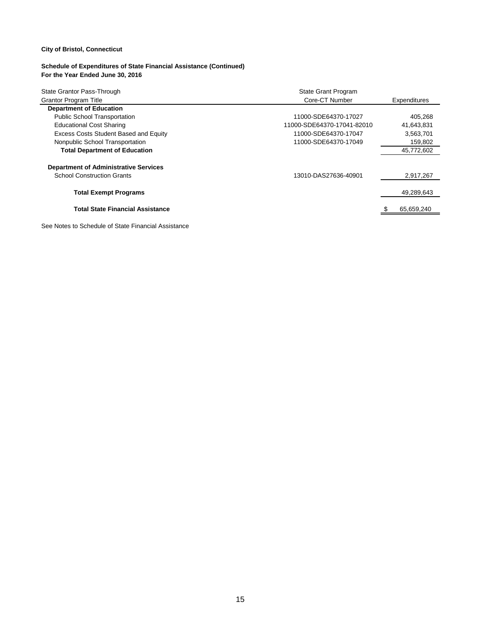#### **Schedule of Expenditures of State Financial Assistance (Continued) For the Year Ended June 30, 2016**

| State Grantor Pass-Through                   | State Grant Program        |              |
|----------------------------------------------|----------------------------|--------------|
| <b>Grantor Program Title</b>                 | Core-CT Number             | Expenditures |
| <b>Department of Education</b>               |                            |              |
| <b>Public School Transportation</b>          | 11000-SDE64370-17027       | 405,268      |
| <b>Educational Cost Sharing</b>              | 11000-SDE64370-17041-82010 | 41,643,831   |
| Excess Costs Student Based and Equity        | 11000-SDE64370-17047       | 3,563,701    |
| Nonpublic School Transportation              | 11000-SDE64370-17049       | 159,802      |
| <b>Total Department of Education</b>         |                            | 45,772,602   |
| <b>Department of Administrative Services</b> |                            |              |
| <b>School Construction Grants</b>            | 13010-DAS27636-40901       | 2,917,267    |
| <b>Total Exempt Programs</b>                 |                            | 49,289,643   |
| <b>Total State Financial Assistance</b>      |                            | 65,659,240   |

See Notes to Schedule of State Financial Assistance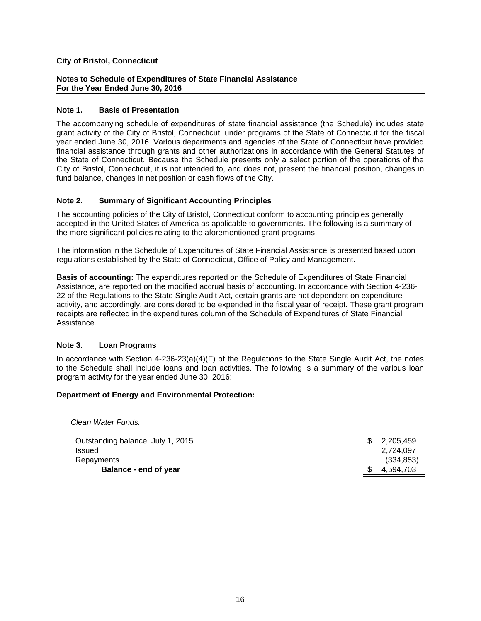## **Notes to Schedule of Expenditures of State Financial Assistance For the Year Ended June 30, 2016**

## **Note 1. Basis of Presentation**

The accompanying schedule of expenditures of state financial assistance (the Schedule) includes state grant activity of the City of Bristol, Connecticut, under programs of the State of Connecticut for the fiscal year ended June 30, 2016. Various departments and agencies of the State of Connecticut have provided financial assistance through grants and other authorizations in accordance with the General Statutes of the State of Connecticut. Because the Schedule presents only a select portion of the operations of the City of Bristol, Connecticut, it is not intended to, and does not, present the financial position, changes in fund balance, changes in net position or cash flows of the City.

## **Note 2. Summary of Significant Accounting Principles**

The accounting policies of the City of Bristol, Connecticut conform to accounting principles generally accepted in the United States of America as applicable to governments. The following is a summary of the more significant policies relating to the aforementioned grant programs.

The information in the Schedule of Expenditures of State Financial Assistance is presented based upon regulations established by the State of Connecticut, Office of Policy and Management.

**Basis of accounting:** The expenditures reported on the Schedule of Expenditures of State Financial Assistance, are reported on the modified accrual basis of accounting. In accordance with Section 4-236- 22 of the Regulations to the State Single Audit Act, certain grants are not dependent on expenditure activity, and accordingly, are considered to be expended in the fiscal year of receipt. These grant program receipts are reflected in the expenditures column of the Schedule of Expenditures of State Financial Assistance.

## **Note 3. Loan Programs**

In accordance with Section 4-236-23(a)(4)(F) of the Regulations to the State Single Audit Act, the notes to the Schedule shall include loans and loan activities. The following is a summary of the various loan program activity for the year ended June 30, 2016:

## **Department of Energy and Environmental Protection:**

*Clean Water Funds:*

| Outstanding balance, July 1, 2015 | \$ 2.205.459 |
|-----------------------------------|--------------|
| <b>Issued</b>                     | 2.724.097    |
| Repayments                        | (334.853)    |
| Balance - end of year             | 4,594,703    |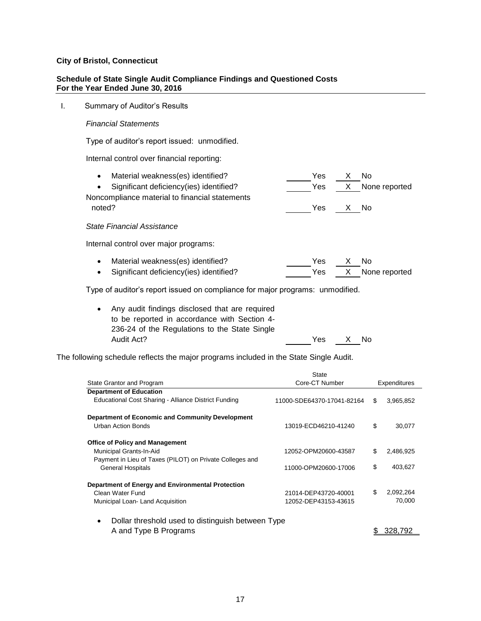#### **Schedule of State Single Audit Compliance Findings and Questioned Costs For the Year Ended June 30, 2016**

I. Summary of Auditor's Results

#### *Financial Statements*

Type of auditor's report issued: unmodified.

Internal control over financial reporting:

| Material weakness(es) identified?              | Yes | X. | - No            |
|------------------------------------------------|-----|----|-----------------|
| • Significant deficiency(ies) identified?      | Yes |    | X None reported |
| Noncompliance material to financial statements |     |    |                 |
| noted?                                         | Yes | X. | No.             |

#### *State Financial Assistance*

Internal control over major programs:

- Material weakness(es) identified? The Material weakness and the Material Material of Material Material Material Material Material Material Material Material Material Material Material Material Material Material Material
- Significant deficiency(ies) identified? Yes X None reported

Type of auditor's report issued on compliance for major programs: unmodified.

 Any audit findings disclosed that are required to be reported in accordance with Section 4- 236-24 of the Regulations to the State Single Audit Act? No. 2012 12:30 No. 2012 12:30 No. 2012 12:30 No. 2013 No. 2014 12:30 No. 2013 No. 2014 No. 2013 No.

The following schedule reflects the major programs included in the State Single Audit.

|                                                                                      | State                      |     |              |
|--------------------------------------------------------------------------------------|----------------------------|-----|--------------|
| State Grantor and Program                                                            | Core-CT Number             |     | Expenditures |
| <b>Department of Education</b>                                                       |                            |     |              |
| Educational Cost Sharing - Alliance District Funding                                 | 11000-SDE64370-17041-82164 | \$. | 3,965,852    |
| Department of Economic and Community Development                                     |                            |     |              |
| <b>Urban Action Bonds</b>                                                            | 13019-ECD46210-41240       | \$  | 30,077       |
| <b>Office of Policy and Management</b>                                               |                            |     |              |
| Municipal Grants-In-Aid                                                              | 12052-OPM20600-43587       | \$  | 2,486,925    |
| Payment in Lieu of Taxes (PILOT) on Private Colleges and<br><b>General Hospitals</b> | 11000-OPM20600-17006       | \$  | 403,627      |
| Department of Energy and Environmental Protection                                    |                            |     |              |
| Clean Water Fund                                                                     | 21014-DEP43720-40001       | \$  | 2,092,264    |
| Municipal Loan-Land Acquisition                                                      | 12052-DEP43153-43615       |     | 70,000       |
| Dollar threshold used to distinguish between Type<br>$\bullet$                       |                            |     |              |
| A and Type B Programs                                                                |                            |     | 328.792      |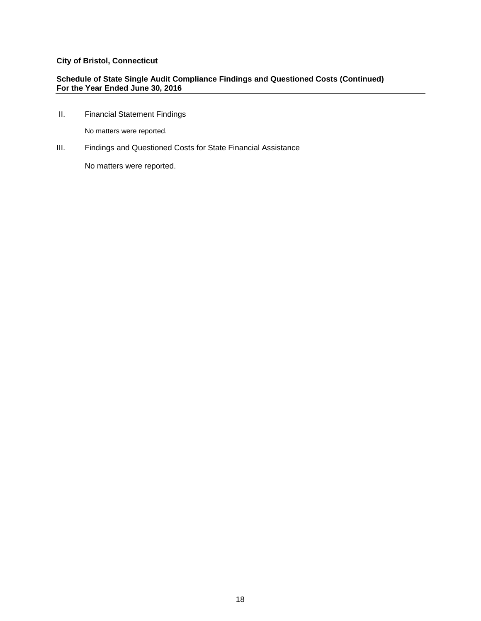## **Schedule of State Single Audit Compliance Findings and Questioned Costs (Continued) For the Year Ended June 30, 2016**

II. Financial Statement Findings

No matters were reported.

III. Findings and Questioned Costs for State Financial Assistance

No matters were reported.